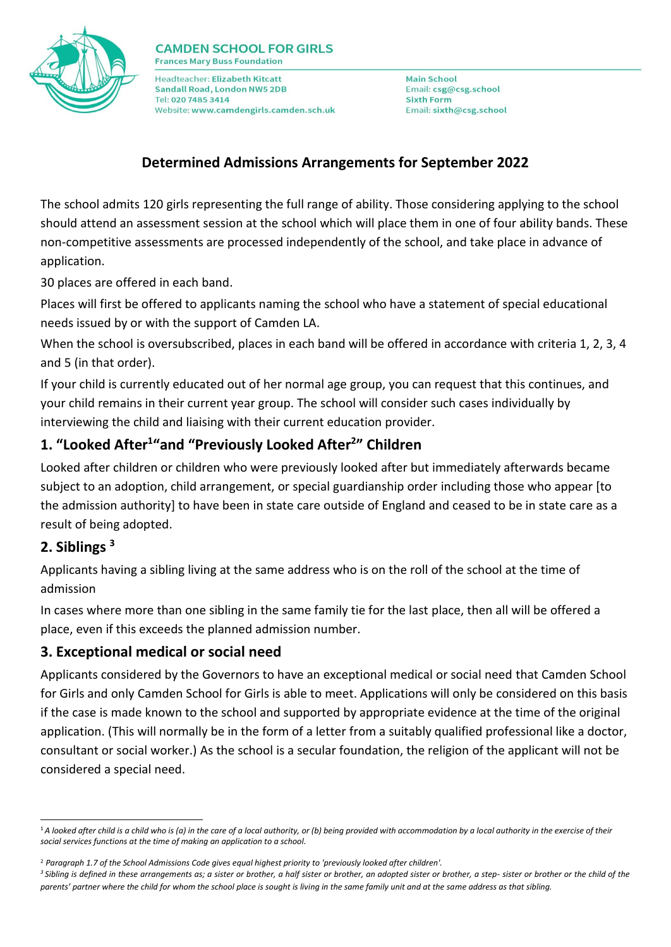

Headteacher: Elizabeth Kitcatt Sandall Road, London NW5 2DB Tel: 020 7485 3414 Website: www.camdengirls.camden.sch.uk

**Main School** Email: csg@csg.school **Sixth Form** Email: sixth@csg.school

## **Determined Admissions Arrangements for September 2022**

The school admits 120 girls representing the full range of ability. Those considering applying to the school should attend an assessment session at the school which will place them in one of four ability bands. These non-competitive assessments are processed independently of the school, and take place in advance of application.

30 places are offered in each band.

Places will first be offered to applicants naming the school who have a statement of special educational needs issued by or with the support of Camden LA.

When the school is oversubscribed, places in each band will be offered in accordance with criteria 1, 2, 3, 4 and 5 (in that order).

If your child is currently educated out of her normal age group, you can request that this continues, and your child remains in their current year group. The school will consider such cases individually by interviewing the child and liaising with their current education provider.

# **1. "Looked After<sup>1</sup> "and "Previously Looked After<sup>2</sup> " Children**

Looked after children or children who were previously looked after but immediately afterwards became subject to an adoption, child arrangement, or special guardianship order including those who appear [to the admission authority] to have been in state care outside of England and ceased to be in state care as a result of being adopted.

#### **2. Siblings <sup>3</sup>**

-

Applicants having a sibling living at the same address who is on the roll of the school at the time of admission

In cases where more than one sibling in the same family tie for the last place, then all will be offered a place, even if this exceeds the planned admission number.

#### **3. Exceptional medical or social need**

Applicants considered by the Governors to have an exceptional medical or social need that Camden School for Girls and only Camden School for Girls is able to meet. Applications will only be considered on this basis if the case is made known to the school and supported by appropriate evidence at the time of the original application. (This will normally be in the form of a letter from a suitably qualified professional like a doctor, consultant or social worker.) As the school is a secular foundation, the religion of the applicant will not be considered a special need.

<sup>&</sup>lt;sup>1</sup>A looked after child is a child who is (a) in the care of a local authority, or (b) being provided with accommodation by a local authority in the exercise of their *social services functions at the time of making an application to a school.*

<sup>2</sup> *Paragraph 1.7 of the School Admissions Code gives equal highest priority to 'previously looked after children'.* 

*<sup>3</sup>Sibling is defined in these arrangements as; a sister or brother, a half sister or brother, an adopted sister or brother, a step- sister or brother or the child of the parents' partner where the child for whom the school place is sought is living in the same family unit and at the same address as that sibling.*